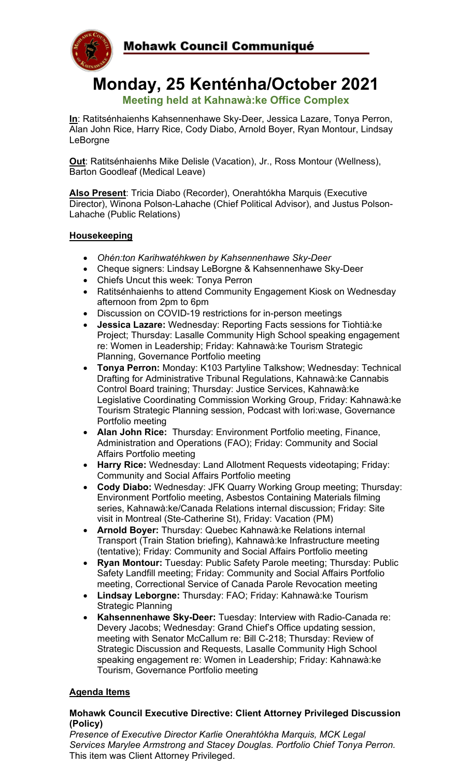

## **Monday, 25 Kenténha/October 2021 Meeting held at Kahnawà:ke Office Complex**

**In**: Ratitsénhaienhs Kahsennenhawe Sky-Deer, Jessica Lazare, Tonya Perron, Alan John Rice, Harry Rice, Cody Diabo, Arnold Boyer, Ryan Montour, Lindsay LeBorgne

**Out**: Ratitsénhaienhs Mike Delisle (Vacation), Jr., Ross Montour (Wellness), Barton Goodleaf (Medical Leave)

**Also Present**: Tricia Diabo (Recorder), Onerahtókha Marquis (Executive Director), Winona Polson-Lahache (Chief Political Advisor), and Justus Polson-Lahache (Public Relations)

#### **Housekeeping**

- *Ohén:ton Karihwatéhkwen by Kahsennenhawe Sky-Deer*
- Cheque signers: Lindsay LeBorgne & Kahsennenhawe Sky-Deer
- Chiefs Uncut this week: Tonya Perron
- Ratitsénhaienhs to attend Community Engagement Kiosk on Wednesday afternoon from 2pm to 6pm
- Discussion on COVID-19 restrictions for in-person meetings
- **Jessica Lazare:** Wednesday: Reporting Facts sessions for Tiohtià:ke Project; Thursday: Lasalle Community High School speaking engagement re: Women in Leadership; Friday: Kahnawà:ke Tourism Strategic Planning, Governance Portfolio meeting
- **Tonya Perron:** Monday: K103 Partyline Talkshow; Wednesday: Technical Drafting for Administrative Tribunal Regulations, Kahnawà:ke Cannabis Control Board training; Thursday: Justice Services, Kahnawà:ke Legislative Coordinating Commission Working Group, Friday: Kahnawà:ke Tourism Strategic Planning session, Podcast with Iori:wase, Governance Portfolio meeting
- **Alan John Rice:** Thursday: Environment Portfolio meeting, Finance, Administration and Operations (FAO); Friday: Community and Social Affairs Portfolio meeting
- **Harry Rice:** Wednesday: Land Allotment Requests videotaping; Friday: Community and Social Affairs Portfolio meeting
- **Cody Diabo:** Wednesday: JFK Quarry Working Group meeting; Thursday: Environment Portfolio meeting, Asbestos Containing Materials filming series, Kahnawà:ke/Canada Relations internal discussion; Friday: Site visit in Montreal (Ste-Catherine St), Friday: Vacation (PM)
- **Arnold Boyer:** Thursday: Quebec Kahnawà:ke Relations internal Transport (Train Station briefing), Kahnawà:ke Infrastructure meeting (tentative); Friday: Community and Social Affairs Portfolio meeting
- **Ryan Montour:** Tuesday: Public Safety Parole meeting; Thursday: Public Safety Landfill meeting; Friday: Community and Social Affairs Portfolio meeting, Correctional Service of Canada Parole Revocation meeting
- **Lindsay Leborgne:** Thursday: FAO; Friday: Kahnawà:ke Tourism Strategic Planning
- **Kahsennenhawe Sky-Deer:** Tuesday: Interview with Radio-Canada re: Devery Jacobs; Wednesday: Grand Chief's Office updating session, meeting with Senator McCallum re: Bill C-218; Thursday: Review of Strategic Discussion and Requests, Lasalle Community High School speaking engagement re: Women in Leadership; Friday: Kahnawà:ke Tourism, Governance Portfolio meeting

## **Agenda Items**

#### **Mohawk Council Executive Directive: Client Attorney Privileged Discussion (Policy)**

*Presence of Executive Director Karlie Onerahtókha Marquis, MCK Legal Services Marylee Armstrong and Stacey Douglas. Portfolio Chief Tonya Perron.*  This item was Client Attorney Privileged.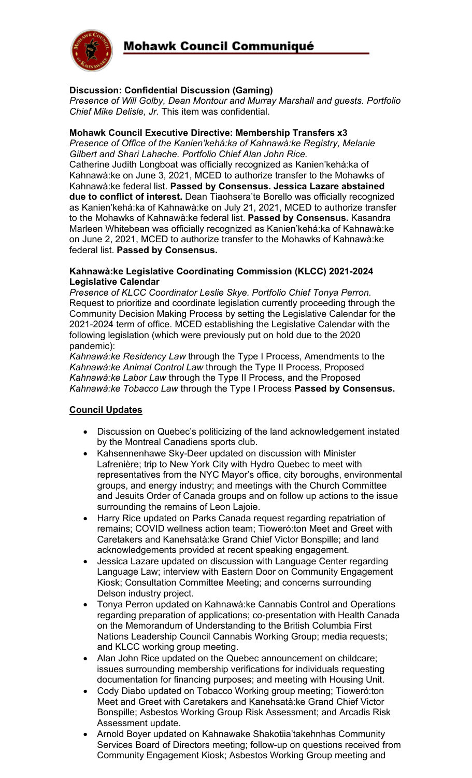

## **Discussion: Confidential Discussion (Gaming)**

*Presence of Will Golby, Dean Montour and Murray Marshall and guests. Portfolio Chief Mike Delisle, Jr.* This item was confidential.

#### **Mohawk Council Executive Directive: Membership Transfers x3**

*Presence of Office of the Kanien'kehá:ka of Kahnawà:ke Registry, Melanie Gilbert and Shari Lahache. Portfolio Chief Alan John Rice.* Catherine Judith Longboat was officially recognized as Kanien'kehá:ka of Kahnawà:ke on June 3, 2021, MCED to authorize transfer to the Mohawks of Kahnawà:ke federal list. **Passed by Consensus. Jessica Lazare abstained due to conflict of interest.** Dean Tiaohsera'te Borello was officially recognized as Kanien'kehá:ka of Kahnawà:ke on July 21, 2021, MCED to authorize transfer to the Mohawks of Kahnawà:ke federal list. **Passed by Consensus.** Kasandra Marleen Whitebean was officially recognized as Kanien'kehá:ka of Kahnawà:ke on June 2, 2021, MCED to authorize transfer to the Mohawks of Kahnawà:ke federal list. **Passed by Consensus.**

#### **Kahnawà:ke Legislative Coordinating Commission (KLCC) 2021-2024 Legislative Calendar**

*Presence of KLCC Coordinator Leslie Skye. Portfolio Chief Tonya Perron.* Request to prioritize and coordinate legislation currently proceeding through the Community Decision Making Process by setting the Legislative Calendar for the 2021-2024 term of office. MCED establishing the Legislative Calendar with the following legislation (which were previously put on hold due to the 2020 pandemic):

*Kahnawà:ke Residency Law* through the Type I Process, Amendments to the *Kahnawà:ke Animal Control Law* through the Type II Process, Proposed *Kahnawà:ke Labor Law* through the Type II Process, and the Proposed *Kahnawà:ke Tobacco Law* through the Type I Process **Passed by Consensus.**

## **Council Updates**

- Discussion on Quebec's politicizing of the land acknowledgement instated by the Montreal Canadiens sports club.
- Kahsennenhawe Sky-Deer updated on discussion with Minister Lafrenière; trip to New York City with Hydro Quebec to meet with representatives from the NYC Mayor's office, city boroughs, environmental groups, and energy industry; and meetings with the Church Committee and Jesuits Order of Canada groups and on follow up actions to the issue surrounding the remains of Leon Lajoie.
- Harry Rice updated on Parks Canada request regarding repatriation of remains; COVID wellness action team; Tioweró:ton Meet and Greet with Caretakers and Kanehsatà:ke Grand Chief Victor Bonspille; and land acknowledgements provided at recent speaking engagement.
- Jessica Lazare updated on discussion with Language Center regarding Language Law; interview with Eastern Door on Community Engagement Kiosk; Consultation Committee Meeting; and concerns surrounding Delson industry project.
- Tonya Perron updated on Kahnawà:ke Cannabis Control and Operations regarding preparation of applications; co-presentation with Health Canada on the Memorandum of Understanding to the British Columbia First Nations Leadership Council Cannabis Working Group; media requests; and KLCC working group meeting.
- Alan John Rice updated on the Quebec announcement on childcare; issues surrounding membership verifications for individuals requesting documentation for financing purposes; and meeting with Housing Unit.
- Cody Diabo updated on Tobacco Working group meeting; Tioweró:ton Meet and Greet with Caretakers and Kanehsatà:ke Grand Chief Victor Bonspille; Asbestos Working Group Risk Assessment; and Arcadis Risk Assessment update.
- Arnold Boyer updated on Kahnawake Shakotiia'takehnhas Community Services Board of Directors meeting; follow-up on questions received from Community Engagement Kiosk; Asbestos Working Group meeting and